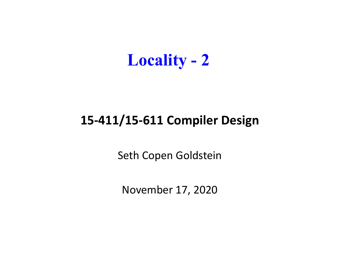

#### **15‐411/15‐611 Compiler Design**

Seth Copen Goldstein

November 17, 2020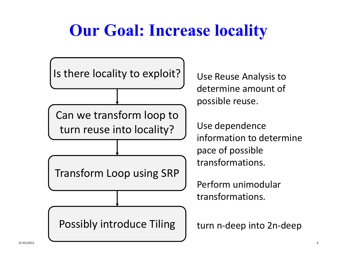## **Our Goal: Increase locality**

Is there locality to exploit? | Use

Can we transform loop to turn reuse into

Transform Loop using SRP

Possibly introduce Tiling

Use Reuse Analysis to determine amount of possible reuse.

Use dependence n to determine pace of possible transformations.

Perform unimodular transformations.

n ‐deep into 2n ‐deep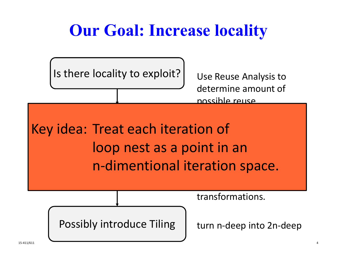## **Our Goal: Increase locality**

Is there locality to exploit? | Use

Use Reuse Analysis to determine amount of possible reuse.

dea: Ireat e Key idea: Treat each iteration of loop nest as a point in an n-dimentional iteration spad Transformn ‐dimentional iteration space.

transformations.

Possibly introduce Tiling

n ‐deep into 2n ‐deep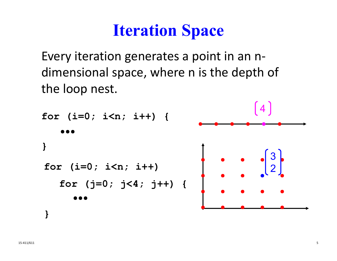### **Iteration Space**

Every iteration generates <sup>a</sup> point in an <sup>n</sup>‐ dimensional space, where <sup>n</sup> is the depth of the loop nest.

```
for (i=0; i<n; i++) {
}
for (i=0; i<n; i++) 
   for (j=0; j<4; j++) {
}
```
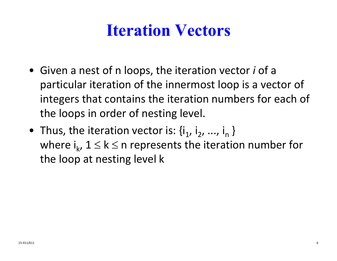### **Iteration Vectors**

- Given a nest of n loops, the iteration vector *i* of a particular iteration of the innermost loop is a vector of integers that contains the iteration numbers for each of the loops in order of nesting level.
- Thus, the iteration vector is:  $\{i_1, i_2, ..., i_n\}$ where  $\mathsf{i}_{\mathsf{k}}$ ,  $1 \leq \mathsf{k} \leq$  n represents the iteration number for the loop at nesting level k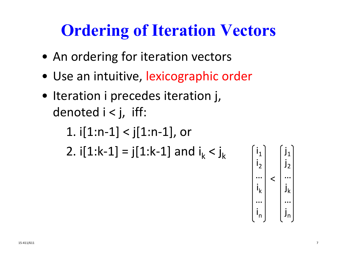## **Ordering of Iteration Vectors**

- An ordering for iteration vectors
- Use an intuitive, lexicographic order
- Iteration i precedes iteration j, denoted i <sup>&</sup>lt; j, iff:

1. 
$$
i[1:n-1] < j[1:n-1]
$$
, or  
2.  $i[1:k-1] = j[1:k-1]$  and  $i_k < j_k$   $\begin{bmatrix} i_1 \\ i_2 \end{bmatrix}$ 

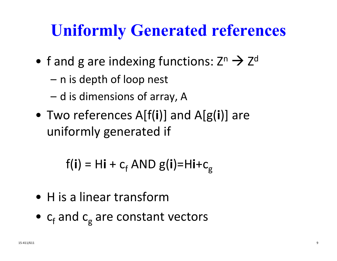### **Uniformly Generated references**

- f and g are indexing functions: Z n  $\rightarrow$  Z d
	- n is depth of loop nest
	- d is dimensions of array, A
- Two references A[f( **i**)] and A[g( **i**)] are uniformly generated if

f( **i** ) = H**i** + c<sub>f</sub> AND g(**i**)=H**i**+c<sub>g</sub>

- H is a linear transform
- $\bullet$   $\,$  c $_{\rm f}$  and c  $_{\rm g}$  are constant vectors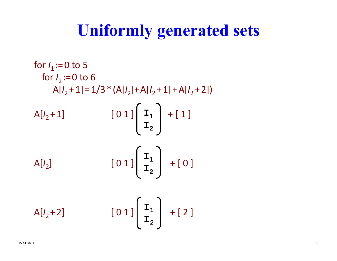### **Uniformly generated sets**

for 
$$
I_1 := 0
$$
 to 5  
\nfor  $I_2 := 0$  to 6  
\n $A[I_2 + 1] = 1/3 * (A[I_2] + A[I_2 + 1] + A[I_2 + 2])$   
\n $A[I_2 + 1]$ \n[01]\n $\begin{bmatrix} \mathbf{I}_1 \\ \mathbf{I}_2 \end{bmatrix} + [1]$   
\n $A[I_2]$ \n[01]\n $\begin{bmatrix} \mathbf{I}_1 \\ \mathbf{I}_2 \end{bmatrix} + [0]$   
\n $A[I_2 + 2]$ \n[01]\n $\begin{bmatrix} \mathbf{I}_1 \\ \mathbf{I}_2 \end{bmatrix} + [2]$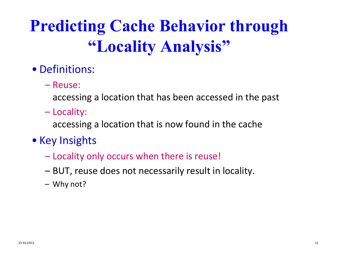# **Predicting Cache Behavior through "Locality Analysis"**

#### • Definitions:

– Reuse:

accessing a location that has been accessed in the past

Locality:

accessing a location that is now found in the cache

- Key Insights
	- Locality only occurs when there is reuse!
	- BUT, reuse does not necessarily result in locality.
	- Why not?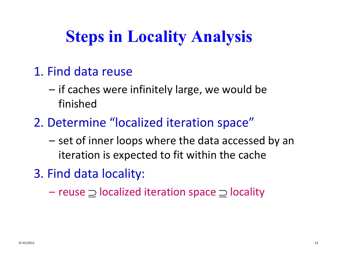## **Steps in Locality Analysis**

- 1. Find data reuse
	- if caches were infinitely large, we would be finished
- 2. Determine "localized iteration space"
	- set of inner loops where the data accessed by an iteration is expected to fit within the cache
- 3. Find data locality:
	- reuse  $\supseteq$  localized iteration space  $\supseteq$  locality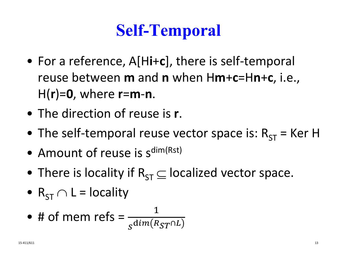## **Self-Temporal**

- For a reference, A[H**i**<sup>+</sup>**c**], there is self‐temporal reuse between **m** and **<sup>n</sup>** when H**m**+**c**=H**n**+**c**, i.e., H(**r**)=**0**, where **<sup>r</sup>**=**m**‐**n**.
- The direction of reuse is **<sup>r</sup>**.
- The self-temporal reuse vector space is:  $R_{ST}$  = Ker H
- $\bullet$  Amount of reuse is s<sup>dim(Rst)</sup>
- $\bullet\,$  There is locality if  $\mathsf{R}_{\mathsf{ST}}\!\subseteq\! \mathsf{localized}\,$  vector space.
- $\, {\sf R}_{\sf ST} \cap {\sf L} = {\sf locality} \,$

• # of mem refs = 
$$
\frac{1}{s^{dim(R_{ST} \cap L)}}
$$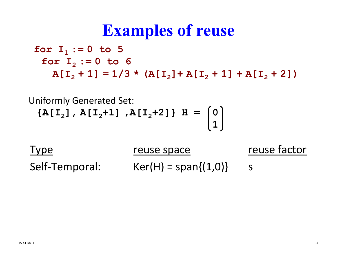### **Examples of reuse**

**for I 1 := 0 to 5 for I 2 := 0 to 6**  $A[I_2 + 1] = 1/3$  \*  $(A[I_2] + A[I_2 + 1] + A[I_2 + 2])$ 

Uniformly Generated Set: **{A[I 2], A[I <sup>2</sup>+1] ,A[I <sup>2</sup>+2]} H = 0 1**

Type reuse space reuse factor Self ‐Temporal: Ker(H) = span{(1,0)} <sup>s</sup>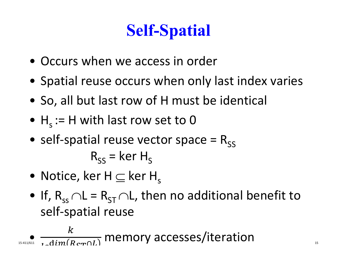# **Self-Spatial**

- Occurs when we access in order
- Spatial reuse occurs when only last index varies
- So, all but last row of H must be identical
- $\bullet\,$  H<sub>s</sub> := H with last row set to 0
- self-spatial reuse vector space =  $R^{\text{ss}}$  $\mathsf{R}_{\mathsf{SS}}^{}$  = ker  $\mathsf{H}_{\mathsf{S}}^{}$
- $\bullet\,$  Notice, ker H  $\subseteq$  ker H $_{\mathrm{s}}$
- $\bullet\,$  If,  $\rm R_{ss}$   $\cap$  L =  $\rm R_{ST}$   $\cap$  L, then no additional benefit to self‐spatial reuse

$$
\bullet \underset{\text{as-411/611}}{\bullet} \frac{k}{\text{1.dim}(R_{\text{cr}} \cap L)}
$$
 memory access/iteration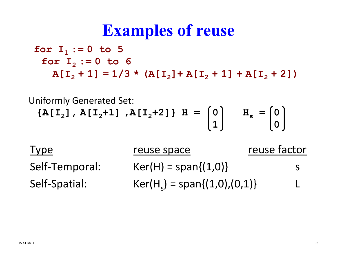### **Examples of reuse**

**for I 1 := 0 to 5 for I 2 := 0 to 6**  $A[I_2 + 1] = 1/3$  \*  $(A[I_2] + A[I_2 + 1] + A[I_2 + 2])$ 

Uniformly Generated Set: **{A[I 2], A[I <sup>2</sup>+1] ,A[I <sup>2</sup>+2]} H = 0 H s <sup>=</sup> 0 1 0**

Type reuse space reuse factor Self ‐Temporal: Ker(H)  $=$  span $\{(1,0)\}$  s Self ‐Spatial: Ker(H  $\mathsf{S}_\mathsf{S}$ ) = span $\{(1,0),(0,1)\}$  L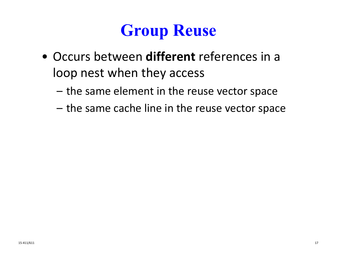### **Group Reuse**

- Occurs between **different** references in <sup>a</sup> loop nest when they access
	- the same element in the reuse vector space
	- the same cache line in the reuse vector space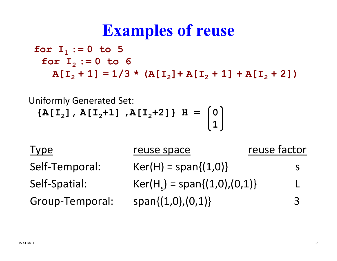### **Examples of reuse**

**for I 1 := 0 to 5 for I 2 := 0 to 6**  $A[I_2 + 1] = 1/3$  \*  $(A[I_2] + A[I_2 + 1] + A[I_2 + 2])$ 

Uniformly Generated Set: **{A[I 2], A[I <sup>2</sup>+1] ,A[I <sup>2</sup>+2]} H = 0 1**

| <b>Type</b>     | reuse space                    | reuse factor   |
|-----------------|--------------------------------|----------------|
| Self-Temporal:  | $Ker(H) = span{(1,0)}$         | S              |
| Self-Spatial:   | $Ker(H_s) = span{(1,0),(0,1)}$ | $\mathbf{L}$   |
| Group-Temporal: | $span{(1,0),(0,1)}$            | $\overline{3}$ |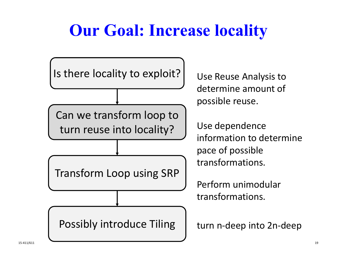## **Our Goal: Increase locality**

Is there locality to exploit? | Use Can we transform loop to turn reuse intoTransform Loop using SRP

Possibly introduce Tiling

Use Reuse Analysis to determine amount of possible reuse.

Use dependence n to determine pace of possible transformations.

Perform unimodular transformations.

n ‐deep into 2n ‐deep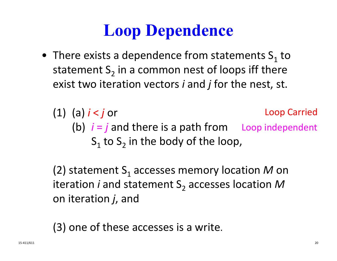### **Loop Dependence**

- $\bullet~$  There exists a dependence from statements  $\mathsf{S}_\mathsf{1}$  to statement  $\mathsf{S}_2$  in a common nest of loops iff there exist two iteration vectors *i* and *j* for the nest, st.
	- (1) (a) *i* <sup>&</sup>lt; *j* or (b) *i* <sup>=</sup> *j* and there is <sup>a</sup> path from Loop independent  $\mathsf{S}_1$  to  $\mathsf{S}_2$  in the body of the loop, Loop Carried

(2) statement  $\mathsf{S}_\mathsf{1}$  accesses memory location  $\mathsf{\mathcal{M}}$  on iteration *i* and statement S<sub>2</sub> accesses location M on iteration *j*, and

(3) one of these accesses is <sup>a</sup> write.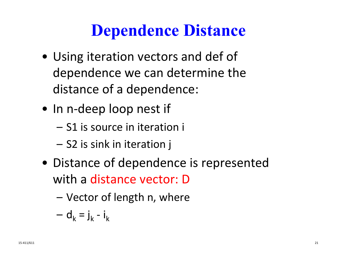### **Dependence Distance**

- Using iteration vectors and def of dependence we can determine the distance of a dependence:
- In n-deep loop nest if
	- S1 is source in iteration i
	- S2 is sink in iteration j
- Distance of dependence is represented with a distance vector: D
	- Vector of length n, where

$$
- d_k = j_k - i_k
$$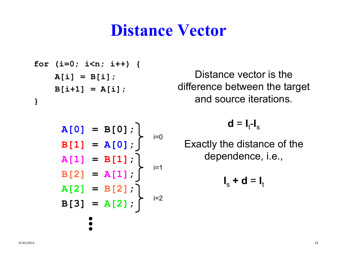### **Distance Vector**

**for (i=0; i<n; i++) { A[i] = B[i]; B[i+1] = A[i]; }**

$$
A[0] = B[0];
$$
\n
$$
B[1] = A[0];
$$
\n
$$
A[1] = B[1];
$$
\n
$$
B[2] = A[1];
$$
\n
$$
A[2] = B[2];
$$
\n
$$
B[3] = A[2];
$$
\n
$$
\vdots
$$

Distance vector is the difference between the target and source iterations.

 $d = I_t-I_s$ 

Exactly the distance of the dependence, i.e.,

$$
\mathbf{I}_s + \mathbf{d} = \mathbf{I}_t
$$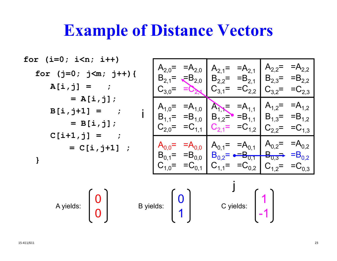### **Example of Distance Vectors**

$$
\begin{array}{ll}\n\text{for} & (\mathbf{i}=0; \ \mathbf{i} < \mathbf{n}; \ \mathbf{i} + \mathbf{i} \\
\text{for} & (\mathbf{j}=0; \ \mathbf{j} < \mathbf{m}; \ \mathbf{j} + \mathbf{i}) \\
\text{A}[\mathbf{i}, \mathbf{j}] = & \vdots \\
\text{A}[\mathbf{i}, \mathbf{j}] = & \vdots \\
\text{B}[\mathbf{i}, \mathbf{j} + \mathbf{1}] = & \vdots \\
\text{B}[\mathbf{i}, \mathbf{j}] + \mathbf{j} = & \vdots \\
\text{B}[\mathbf{i}, \mathbf{j}] + \mathbf{j} = & \vdots \\
\text{B}[\mathbf{i}, \mathbf{j}] + \mathbf{j} = & \vdots \\
\text{C}[\mathbf{i} + \mathbf{1}, \mathbf{j}] = & \vdots \\
\text{C}[\mathbf{i} + \mathbf{1}, \mathbf{j}] = & \vdots \\
\text{C}[\mathbf{i} + \mathbf{1}, \mathbf{j}] = & \vdots \\
\text{D}[\mathbf{i}, \mathbf{j} + \mathbf{j}] = & \vdots \\
\text{E}[\mathbf{i}, \mathbf{j} + \mathbf{j}] & \vdots \\
\text{D}[\mathbf{i} + \mathbf{j}] & \vdots \\
\text{E}[\mathbf{i} + \mathbf{j}] & \vdots \\
\text{E}[\mathbf{i} + \mathbf{j}] & \vdots \\
\text{E}[\mathbf{i} + \mathbf{j}] & \vdots \\
\text{E}[\mathbf{i} + \mathbf{j}] & \vdots \\
\text{E}[\mathbf{i} + \mathbf{j}] & \vdots \\
\text{E}[\mathbf{i} + \mathbf{j}] & \vdots \\
\text{E}[\mathbf{i} + \mathbf{j}] & \vdots \\
\text{E}[\mathbf{i} + \mathbf{j}] & \vdots \\
\text{E}[\mathbf{i} + \mathbf{j}] & \vdots \\
\text{E}[\mathbf{i} + \mathbf{j}] & \vdots \\
\text{E}[\mathbf{i} + \mathbf{j}] & \vdots \\
\text{E}[\mathbf{i} + \mathbf{j}] & \vdots \\
\text{E}[\mathbf{i} + \mathbf{j}] & \vdots \\
\text{E}[\mathbf{i} + \mathbf{j}] & \vdots \\
\text{E}[\mathbf{i} + \
$$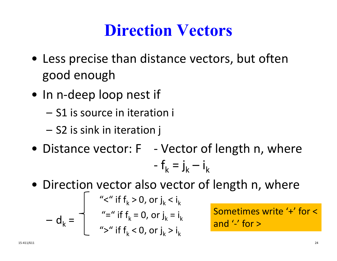### **Direction Vectors**

- Less precise than distance vectors, but often good enough
- In n-deep loop nest if
	- S1 is source in iteration i
	- S2 is sink in iteration j
- Distance vector: F ‐ Vector of length n, where ‐-  $f_k = j_k - i_k$
- Direction vector also vector of length n, where

$$
- d_k = \begin{cases} \n\text{``<} \text{``if } f_k > 0, \text{ or } j_k < i_k \\
\text{``=} \text{``if } f_k = 0, \text{ or } j_k = i_k \\
\text{``>} \text{``if } f_k < 0, \text{ or } j_k > i_k\n\end{cases}
$$

Sometimes write '+' for <and '‐' for >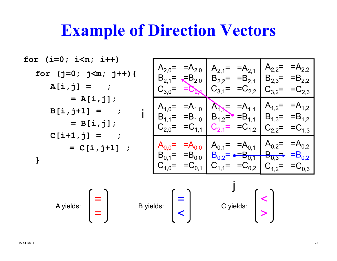### **Example of Direction Vectors**

$$
\begin{array}{ll}\n\text{for} & (\mathbf{i}=0; \ \mathbf{i}\leq \mathbf{n}; \ \mathbf{i}+\mathbf{i} \\
\text{for} & (\mathbf{j}=0; \ \mathbf{j}\leq \mathbf{m}; \ \mathbf{j}+\mathbf{i}) \\
\text{A}[\mathbf{i},\mathbf{j}] = & ; \\
\mathbf{A}[\mathbf{i},\mathbf{j}] = & ; \\
\mathbf{A}[\mathbf{i},\mathbf{j}] = & ; \\
\mathbf{A}[\mathbf{i},\mathbf{j}] = & ; \\
\mathbf{A}[\mathbf{i},\mathbf{j}]\n\end{array}\n\quad\n\begin{array}{ll}\n\text{A}_{2,0} = & = A_{2,0} \ A_{2,1} = & = A_{2,1} \ A_{2,2} = & = A_{2,2} \ B_{2,3} = & = B_{2,2} \ B_{2,4} = & = B_{2,2} \ B_{3,4} = & = B_{2,2} \ B_{3,4} = & = B_{2,2} \ C_{3,4} = & = C_{2,3} \ C_{3,4} = & = C_{2,2} \ C_{3,4} = & = C_{2,3} \ C_{3,4} = & = C_{2,2} \ C_{3,4} = & = B_{1,0} \ B_{1,1} = & = B_{1,0} \ B_{1,2} = & = B_{1,1} \ B_{1,3} = & = B_{1,2} \ C_{2,0} = & = C_{1,1} \ C_{2,1} = & = C_{1,2} \ C_{2,2} = & = C_{1,3} \ C_{2,0} = & = C_{1,1} \ B_{0,0} = & = A_{0,0} \ B_{0,2} = & = A_{0,1} \ B_{0,2} = & = A_{0,2} \ C_{1,0} = & =C_{0,1} \ C_{1,1} = & =C_{0,2} \ C_{1,2} = & =C_{0,3} \ C_{1,2} = & =C_{0,3} \ C_{1,2} = & =C_{0,3} \ C_{1,2} = & =C_{0,3} \ C_{1,2} = & =C_{0,3} \ C_{1,2} = & =C_{0,3} \ C_{1,3}
$$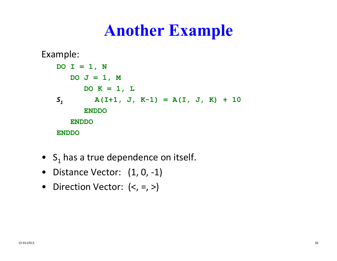### **Another Example**

Example: **DO I = 1, N DO J = 1, M DO K = 1, L** *S1* **A(I+1, J, K-1) = A(I, J, K) + 10 ENDDOENDDOENDDO**

- $\bullet \;\;{\mathsf S}_1$  has a true dependence on itself.
- Distance Vector: (1, 0, ‐1)
- Direction Vector: (<, =, >)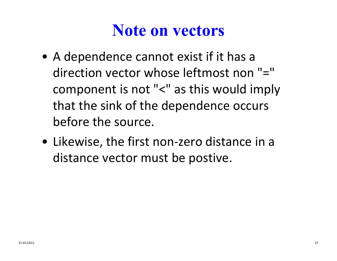### **Note on vectors**

- A dependence cannot exist if it has <sup>a</sup> direction vector whose leftmost non "=" component is not "<" as this would imply that the sink of the dependence occurs before the source.
- Likewise, the first non‐zero distance in <sup>a</sup> distance vector must be postive.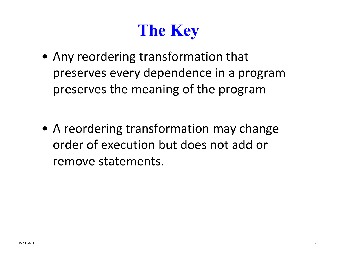# **The Key**

- Any reordering transformation that preserves every dependence in <sup>a</sup> program preserves the meaning of the program
- A reordering transformation may change order of execution but does not add or remove statements.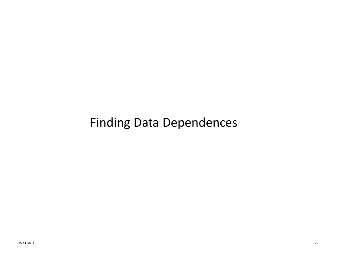#### Finding Data Dependences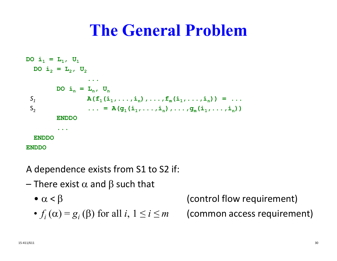### **The General Problem**

Do 
$$
i_1 = L_1
$$
,  $U_1$   
\nDo  $i_2 = L_2$ ,  $U_2$   
\n...  
\nDo  $i_n = L_n$ ,  $U_n$   
\n $S_1$   
\n $A(f_1(i_1, ..., i_n), ..., f_m(i_1, ..., i_n)) = ...$   
\n $S_2$   
\n $\dots = A(g_1(i_1, ..., i_n), ..., g_m(i_1, ..., i_n))$   
\nENDDO  
\n...  
\nENDDO  
\nENDDO

A dependence exists from S1 to S2 if:

- There exist  $\alpha$  and  $\beta$  such that
	- $\bullet \ \alpha <$

• 
$$
f_i(\alpha) = g_i(\beta)
$$
 for all  $i, 1 \le i \le m$ 

 (control flow requirement) *≤<sup>m</sup>* (common access requirement)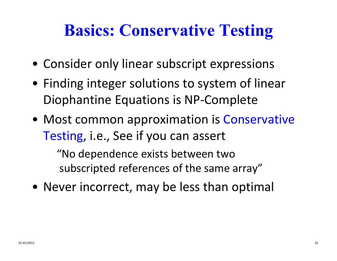### **Basics: Conservative Testing**

- Consider only linear subscript expressions
- Finding integer solutions to system of linear Diophantine Equations is NP ‐Complete
- Most common approximation is Conservative Testing , i.e., See if you can assert

"No dependence exists between two subscripted references of the same array"

• Never incorrect, may be less than optimal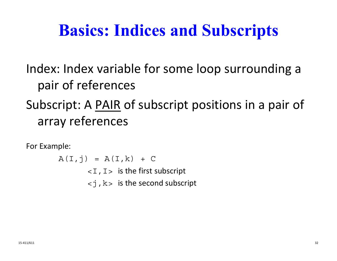### **Basics: Indices and Subscripts**

Index: Index variable for some loop surrounding a pair of references

#### Subscript: A <u>PAIR</u> of subscript positions in a pair of array references

For Example:

 $A(I, j) = A(I, k) + C$  $\langle I, I \rangle$  is the first subscript  $\langle -j, k \rangle$  is the second subscript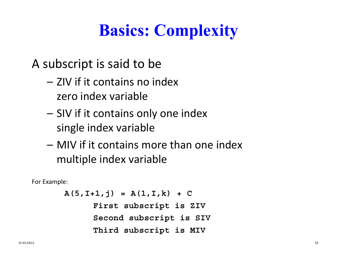# **Basics: Complexity**

A subscript is said to be

- ZIV if it contains no index zero index variable
- SIV if it contains only one index single index variable
- MIV if it contains more than one index multiple index variable

For Example:

```
A(5,I+1,j) = A(1,I,k) + CFirst subscript is ZIV
     Second subscript is SIV
     Third subscript is MIV
```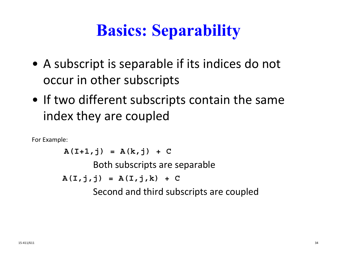# **Basics: Separability**

- A subscript is separable if its indices do not occur in other subscripts
- If two different subscripts contain the same index they are coupled

For Example:

 $A(T+1,j) = A(k,j) + C$ Both subscripts are separable  $A(T, j, j) = A(T, j, k) + C$ Second and third subscripts are coupled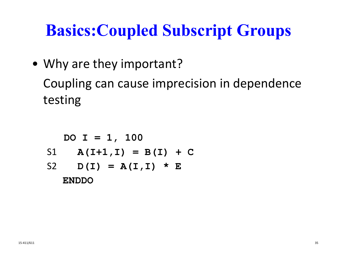## **Basics:Coupled Subscript Groups**

• Why are they important?

Coupling can cause imprecision in dependence testing

$$
DO I = 1, 100
$$
  
SI A(I+1,I) = B(I) + C  
S2 D(I) = A(I,I) \* E  
ENDDO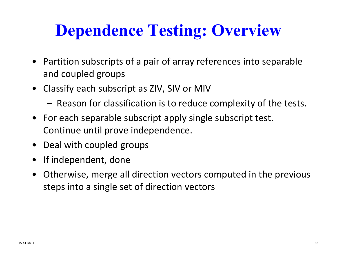## **Dependence Testing: Overview**

- Partition subscripts of a pair of array references into separable and coupled groups
- Classify each subscript as ZIV, SIV or MIV
	- Reason for classification is to reduce complexity of the tests.
- For each separable subscript apply single subscript test. Continue until prove independence.
- Deal with coupled groups
- If independent, done
- Otherwise, merge all direction vectors computed in the previous steps into a single set of direction vectors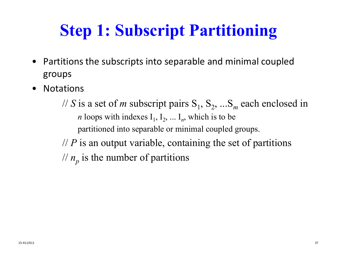# **Step 1: Subscript Partitioning**

- Partitions the subscripts into separable and minimal coupled groups
- $\bullet$ **Notations**

// S is a set of *m* subscript pairs  $S_1$ ,  $S_2$ , ...S<sub>*m*</sub> each enclosed in *n* loops with indexes  $I_1$ ,  $I_2$ , ...  $I_n$ , which is to be partitioned into separable or minimal coupled groups. // *P* is an output variable, containing the set of partitions  $\frac{1}{n}$  is the number of partitions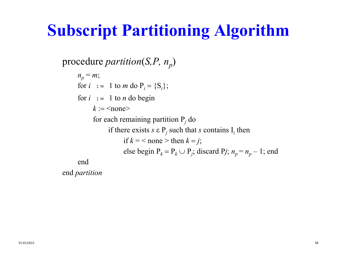## **Subscript Partitioning Algorithm**

procedure *partition*(*S,P, n<sub>p</sub>*)

*np* <sup>=</sup> *m*; for  $i := 1$  to m do  $P_i = \{S_i\};$ for  $i : 1$  to *n* do begin  $k := \leq$ none $>$ for each remaining partition  $P_i$  do if there exists *s*  <sup>P</sup>*<sup>j</sup>* such that *s* contains I*<sup>i</sup>* then if  $k =$  < none > then  $k = j$ ; else begin  $P_k = P_k \cup P_j$ ; discard  $P_j$ ;  $n_p = n_p - 1$ ; end end

end *partition*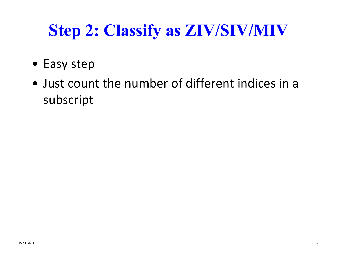# **Step 2: Classify as ZIV/SIV/MIV**

- Easy step
- Just count the number of different indices in a subscript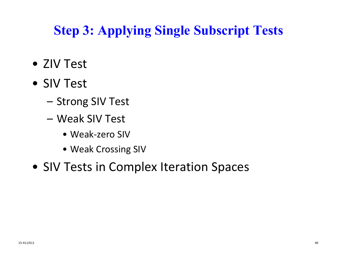### **Step 3: Applying Single Subscript Tests**

- ZIV Test
- SIV Test
	- Strong SIV Test
	- Weak SIV Test
		- Weak‐zero SIV
		- Weak Crossing SIV
- SIV Tests in Complex Iteration Spaces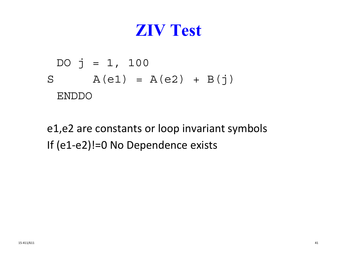## **ZIV Test**

$$
DO \ j = 1, 100
$$
  
S  $A(e1) = A(e2) + B(j)$   
ENDDO

e1,e2 are constants or loop invariant symbols If (e1‐e2)!=0 No Dependence exists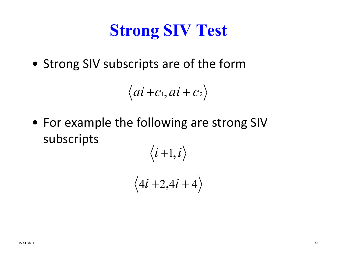# **Strong SIV Test**

• Strong SIV subscripts are of the form

$$
\langle ai+c_1, ai+c_2\rangle
$$

• For example the following are strong SIV subscripts  $\sqrt{2}$ 

$$
\langle i+1, i \rangle
$$
  

$$
\langle 4i+2, 4i+4 \rangle
$$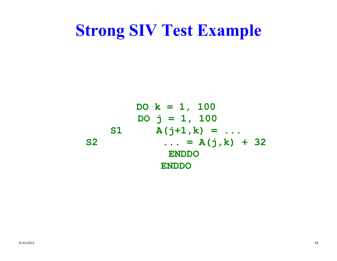### **Strong SIV Test Example**

**DO k = 1, 100 DO j = 1, 100 S1 A(j+1,k) = ... S2 ... = A(j,k) + 32 ENDDO ENDDO**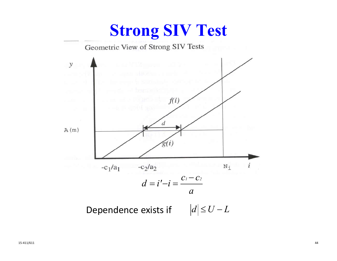### **Strong SIV Test**

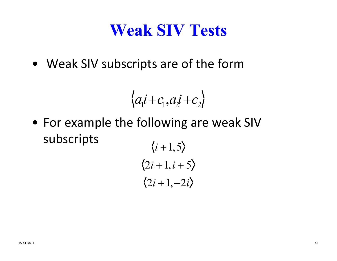## **Weak SIV Tests**

• Weak SIV subscripts are of the form

$$
\langle a_1 i + c_1, a_2 i + c_2 \rangle
$$

• For example the following are weak SIV subscripts  $\iota$  1  $\Lambda$ 

$$
\begin{aligned}\n\langle i+1, 5 \rangle \\
\langle 2i+1, i+5 \rangle \\
\langle 2i+1, -2i \rangle\n\end{aligned}
$$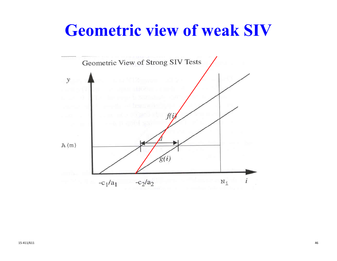### **Geometric view of weak SIV**

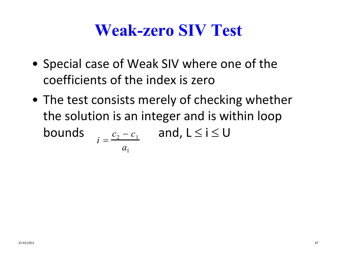### **Weak-zero SIV Test**

- Special case of Weak SIV where one of the coefficients of the index is zero
- The test consists merely of checking whether the solution is an integer and is within loop boundss  $i = \frac{c_2 - c_1}{2}$  and,  $L \le i \le U$  $c_{\overline{2}}$  $-c$ <sub>1</sub>  $a_{1}$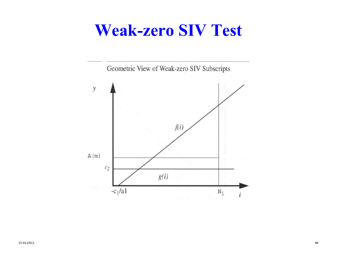### **Weak-zero SIV Test**

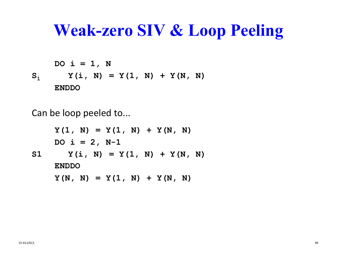### **Weak-zero SIV & Loop Peeling**

 $DO i = 1, N$  $\mathbf{S}_{\mathbf{1}}$  $Y(i, N) = Y(1, N) + Y(N, N)$ 

**ENDDO**

Can be loop peeled to...

 $Y(1, N) = Y(1, N) + Y(N, N)$  $DO i = 2, N-1$ S1  $Y(i, N) = Y(1, N) + Y(N, N)$ **ENDDO** $Y(N, N) = Y(1, N) + Y(N, N)$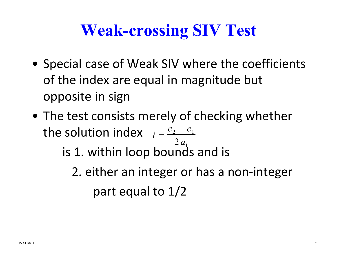# **Weak-crossing SIV Test**

- Special case of Weak SIV where the coefficients of the index are equal in magnitude but opposite in sign
- The test consists merely of checking whether the solution index *i*  $c_{\overline{2}}$  $-c$ <sub>1</sub>

is 1. within loop bounds and is  $2\, a_1^{}$ 

2. either an integer or has a non ‐integer part equal to 1/2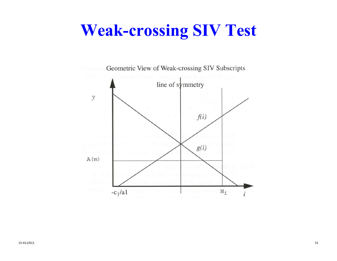## **Weak-crossing SIV Test**

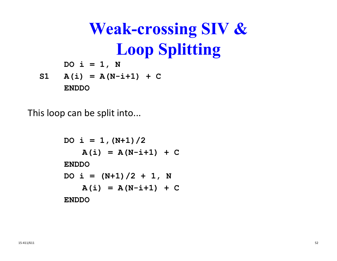**Weak-crossing SIV & Loop Splitting**  $DO i = 1, N$  $S1$  **A(i) = A(N-i+1) + C** 

**ENDDO**

This loop can be split into...

```
DO i = 1, (N+1)/2A(i) = A(N-i+1) + CENDDODO i = (N+1)/2 + 1, NA(i) = A(N-i+1) + CENDDO
```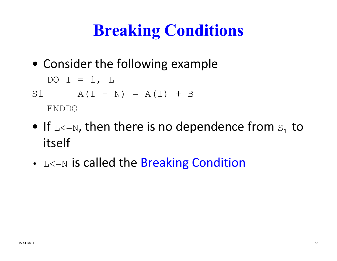# **Breaking Conditions**

• Consider the following example

$$
DO I = 1, L
$$

$$
A(I + N) = A(I) + B
$$
  
ENDDO

- $\bullet\,$  If  $_{\rm L<=N}$ , then there is no dependence from  $\rm s_{_1}$  to itself
- $L$ <=N is called the Breaking Condition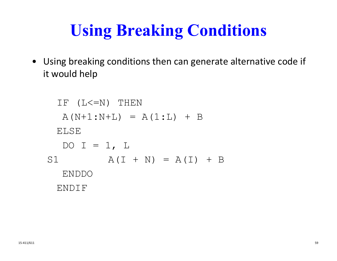# **Using Breaking Conditions**

• Using breaking conditions then can generate alternative code if it would help

```
IF (L < = N) THEN
  A(N+1:N+L) = A(1:L) + BELSEDO I = 1, L
S1 A(I + N) = A(I) + BENDDOENDIF
```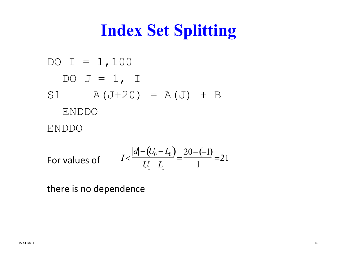# **Index Set Splitting**

DO I = 1, 100  
DO J = 1, I  
S1 A (J+20) = A (J) + B  
ENDDO  
ENDDO  

$$
|d| - (U_0 - L) 20 - (-1)
$$

For values of 
$$
I < \frac{|d| - (U_0 - L_0)}{U_1 - L_1} = \frac{20 - (-1)}{1} = 21
$$

there is no dependence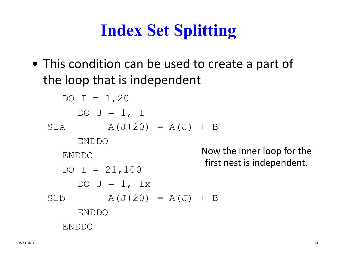# **Index Set Splitting**

• This condition can be used to create a part of the loop that is independent

```
DO I = 1,20DO J = 1, I
S1a A(J+20) = A(J) + BENDDOENDDODO I = 21,100DO J = 1, Ix
S1b A(J+20) = A(J) + BENDDOENDDONow the inner loop for the
                           first nest is independent.
```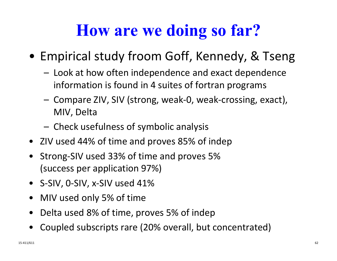## **How are we doing so far?**

- Empirical study froom Goff, Kennedy, & Tseng
	- Look at how often independence and exact dependence information is found in 4 suites of fortran programs
	- – Compare ZIV, SIV (strong, weak ‐0, weak ‐crossing, exact), MIV, Delta
	- Check usefulness of symbolic analysis
- ZIV used 44% of time and proves 85% of indep
- Strong ‐SIV used 33% of time and proves 5% (success per application 97%)
- S-SIV, 0-SIV, x-SIV used 41%
- $\bullet$ MIV used only 5% of time
- Delta used 8% of time, proves 5% of indep
- •Coupled subscripts rare (20% overall, but concentrated)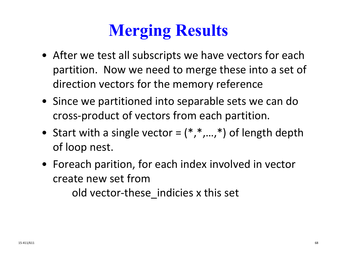# **Merging Results**

- After we test all subscripts we have vectors for each partition. Now we need to merge these into <sup>a</sup> set of direction vectors for the memory reference
- Since we partitioned into separable sets we can do cross‐product of vectors from each partition.
- Start with <sup>a</sup> single vector <sup>=</sup> (\*,\*,…,\*) of length depth of loop nest.
- Foreach parition, for each index involved in vector create new set fromold vector‐these\_indicies <sup>x</sup> this set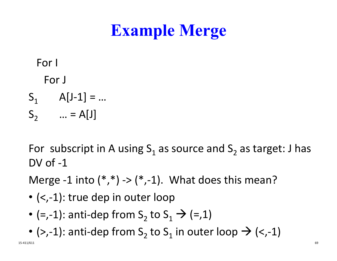# **Example Merge**

#### For I

#### For J

 $S_1$  A[J-1] = ...  $S_2$  … = A[J]

For subscript in A using  $\mathsf{S}_1$  as source and  $\mathsf{S}_2$  as target: J has DV of ‐1

Merge -1 into  $(*,*)$  ->  $(*,-1)$ . What does this mean?

- (<,‐1): true dep in outer loop
- (=,-1): anti-dep from  $S_2$  to  $S_1 \rightarrow$  (=,1)
- (>,-1): anti-dep from  $\mathsf{S}_2$  to  $\mathsf{S}_1$  in outer loop  $\boldsymbol{\rightarrow}$  (<,-1)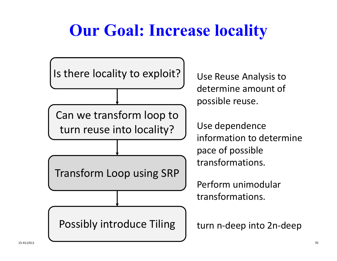# **Our Goal: Increase locality**

Is there locality to exploit? | Use

Can we transform loop to turn reuse into

Transform Loop using SRP

Possibly introduce Tiling

Use Reuse Analysis to determine amount of possible reuse.

Use dependence n to determine pace of possible transformations.

Perform unimodular transformations.

n ‐deep into 2n ‐deep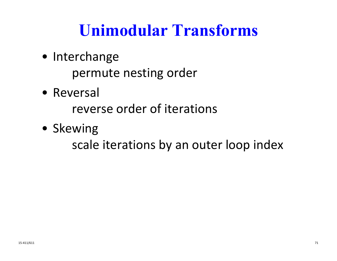# **Unimodular Transforms**

• Interchange

permute nesting order

• Reversal

reverse order of iterations

• Skewing

scale iterations by an outer loop index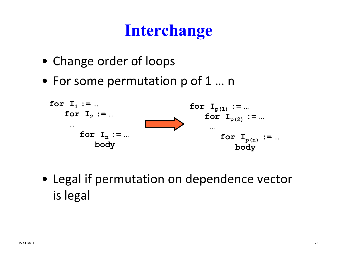## **Interchange**

- Change order of loops
- For some permutation p of 1 … <sup>n</sup>



• Legal if permutation on dependence vector is legal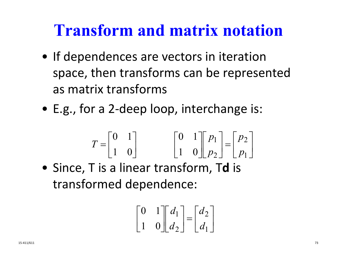## **Transform and matrix notation**

- If dependences are vectors in iteration space, then transforms can be represented as matrix transforms
- E.g., for a 2-deep loop, interchange is:

$$
T = \begin{bmatrix} 0 & 1 \\ 1 & 0 \end{bmatrix} \qquad \qquad \begin{bmatrix} 0 & 1 \\ 1 & 0 \end{bmatrix} \begin{bmatrix} p_1 \\ p_2 \end{bmatrix} = \begin{bmatrix} p_2 \\ p_1 \end{bmatrix}
$$

• Since, T is a linear transform, T **d** is transformed dependence:

$$
\begin{bmatrix} 0 & 1 \\ 1 & 0 \end{bmatrix} \begin{bmatrix} d_1 \\ d_2 \end{bmatrix} = \begin{bmatrix} d_2 \\ d_1 \end{bmatrix}
$$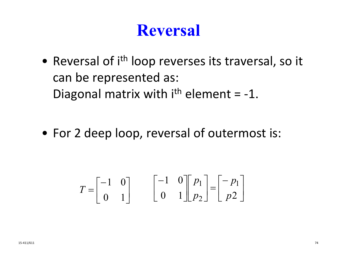### **Reversal**

• Reversal of i<sup>th</sup> loop reverses its traversal, so it can be represented as: Diagonal matrix with  $i<sup>th</sup>$  element = -1.

• For 2 deep loop, reversal of outermost is:

$$
T = \begin{bmatrix} -1 & 0 \\ 0 & 1 \end{bmatrix} \qquad \begin{bmatrix} -1 & 0 \\ 0 & 1 \end{bmatrix} \begin{bmatrix} p_1 \\ p_2 \end{bmatrix} = \begin{bmatrix} -p_1 \\ p_2 \end{bmatrix}
$$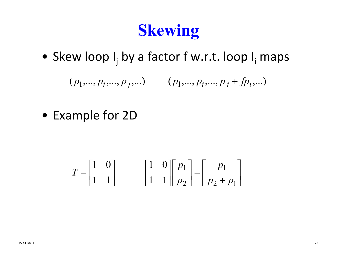## **Skewing**

• Skew loop I<sub>j</sub> by a factor f w.r.t. loop I<sub>i</sub> maps

 $(p_1,..., p_i,..., p_j,...)$   $(p_1,..., p_i,..., p_j + fp_i,...)$ 

• Example for 2D

$$
T = \begin{bmatrix} 1 & 0 \\ 1 & 1 \end{bmatrix} \qquad \begin{bmatrix} 1 & 0 \\ 1 & 1 \end{bmatrix} \begin{bmatrix} p_1 \\ p_2 \end{bmatrix} = \begin{bmatrix} p_1 \\ p_2 + p_1 \end{bmatrix}
$$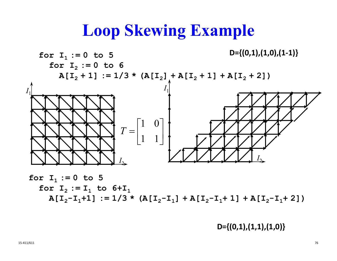### **Loop Skewing Example**



for 
$$
I_1 := 0
$$
 to 5  
for  $I_2 := I_1$  to  $6+I_1$   
 $A[I_2-I_1+1] := 1/3 * (A[I_2-I_1] + A[I_2-I_1+1] + A[I_2-I_1+2])$ 

**D={(0,1),(1,1),(1,0)}**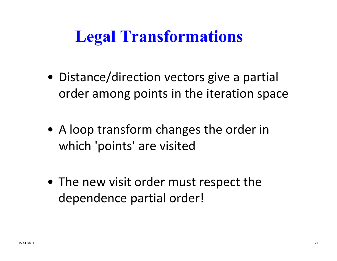# **Legal Transformations**

- Distance/direction vectors give a partial order among points in the iteration space
- A loop transform changes the order in which 'points' are visited
- The new visit order must respect the dependence partial order!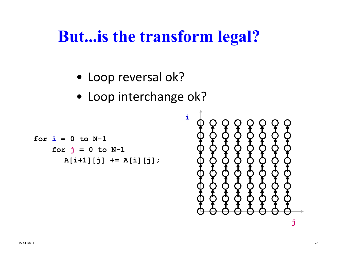- Loop reversal ok?
- Loop interchange ok?

```
for i = 0 to N-1
    for 
j = 0 to N-1
      A[i+1][j] += A[i][j];
```
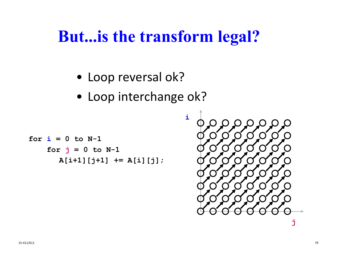- Loop reversal ok?
- Loop interchange ok?

for 
$$
i = 0
$$
 to N-1  
for  $j = 0$  to N-1  
A[i+1][j+1] += A[i][j];

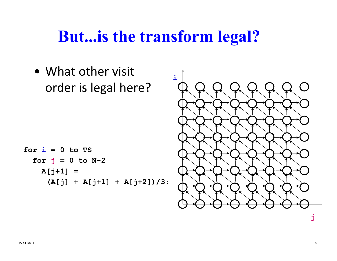• What other visit **i**order is legal here?  $\overline{(\ }$ **for i = 0 to TS for j = 0 to N-2 A[j+1] = (A[j] + A[j+1] + A[j+2])/3; j**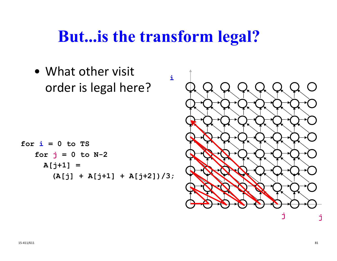**i**

• What other visit order is legal here?

**for i = 0 to TS for j = 0 to N-2 A[j+1] = (A[j] + A[j+1] + A[j+2])/3;**

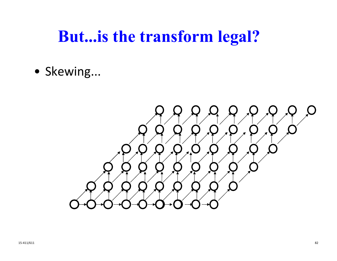• Skewing...

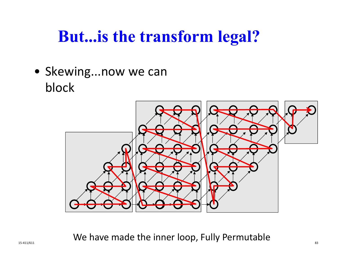• Skewing...now we can block



15‐411/611 **15‐411/611** We have made the inner loop, Fully Permutable  $\frac{1}{83}$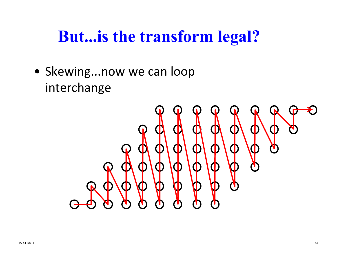• Skewing...now we can loop interchange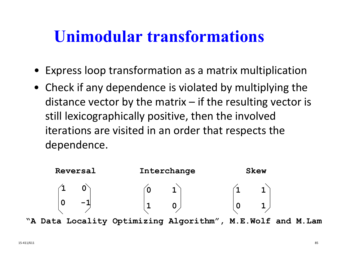### **Unimodular transformations**

- Express loop transformation as a matrix multiplication
- Check if any dependence is violated by multiplying the distance vector by the matrix – if the resulting vector is still lexicographically positive, then the involved iterations are visited in an order that respects the dependence.



**"A Data Locality Optimizing Algorithm", M.E.Wolf and M.La m**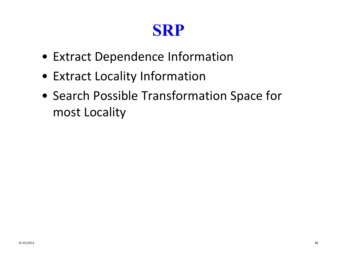## **SRP**

- Extract Dependence Information
- Extract Locality Information
- Search Possible Transformation Space for most Locality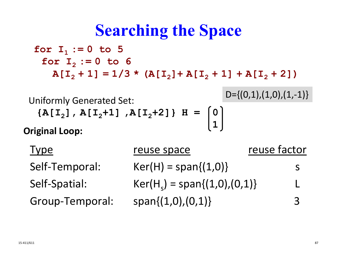## **Searching the Space**

**for I 1 := 0 to 5 for I 2 := 0 to 6**  $A[I_2 + 1] = 1/3$  \*  $(A[I_2] + A[I_2 + 1] + A[I_2 + 2])$ 

Uniformly Generated Set: **{A[I 2], A[I <sup>2</sup>+1] ,A[I <sup>2</sup>+2]} H = 0 1**

$$
D=\{(0,1),(1,0),(1,-1)\}
$$

**Original Loop:**

| Type            | reuse space                    | reuse factor |
|-----------------|--------------------------------|--------------|
| Self-Temporal:  | $Ker(H) = span{(1,0)}$         | S            |
| Self-Spatial:   | $Ker(H_s) = span{(1,0),(0,1)}$ |              |
| Group-Temporal: | $span{(1,0),(0,1)}$            | 3            |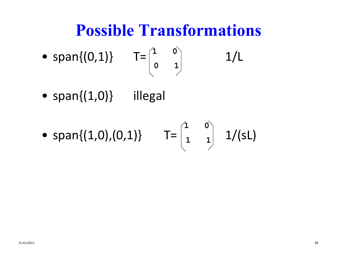## **Possible Transformations**

• span{(0,1)} 
$$
T = \begin{pmatrix} 1 & 0 \\ 0 & 1 \end{pmatrix}
$$
 1/L

• span{(1,0)} illegal

• span{(1,0),(0,1)} 
$$
T = \begin{pmatrix} 1 & 0 \\ 1 & 1 \end{pmatrix}
$$
 1/(sL)